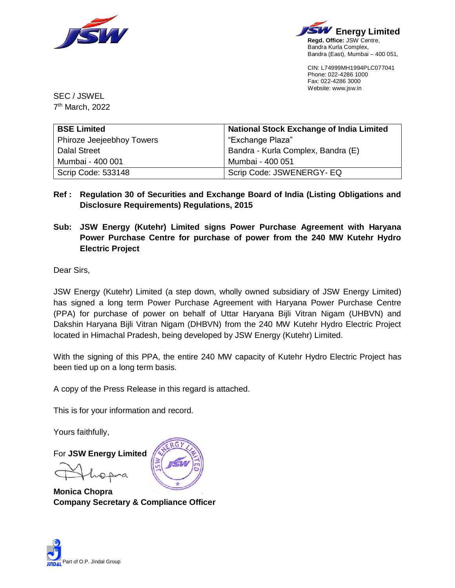



CIN: L74999MH1994PLC077041 Phone: 022-4286 1000 Fax: 022-4286 3000 Website: www.jsw.in

SEC / JSWEL 7 th March, 2022

| <b>BSE Limited</b>        | <b>National Stock Exchange of India Limited</b> |
|---------------------------|-------------------------------------------------|
| Phiroze Jeejeebhoy Towers | "Exchange Plaza"                                |
| <b>Dalal Street</b>       | Bandra - Kurla Complex, Bandra (E)              |
| Mumbai - 400 001          | Mumbai - 400 051                                |
| <b>Scrip Code: 533148</b> | Scrip Code: JSWENERGY- EQ                       |

- **Ref : Regulation 30 of Securities and Exchange Board of India (Listing Obligations and Disclosure Requirements) Regulations, 2015**
- **Sub: JSW Energy (Kutehr) Limited signs Power Purchase Agreement with Haryana Power Purchase Centre for purchase of power from the 240 MW Kutehr Hydro Electric Project**

Dear Sirs,

JSW Energy (Kutehr) Limited (a step down, wholly owned subsidiary of JSW Energy Limited) has signed a long term Power Purchase Agreement with Haryana Power Purchase Centre (PPA) for purchase of power on behalf of Uttar Haryana Bijli Vitran Nigam (UHBVN) and Dakshin Haryana Bijli Vitran Nigam (DHBVN) from the 240 MW Kutehr Hydro Electric Project located in Himachal Pradesh, being developed by JSW Energy (Kutehr) Limited.

With the signing of this PPA, the entire 240 MW capacity of Kutehr Hydro Electric Project has been tied up on a long term basis.

A copy of the Press Release in this regard is attached.

This is for your information and record.

Yours faithfully,

For **JSW Energy Limited**

**Monica Chopra Company Secretary & Compliance Officer**

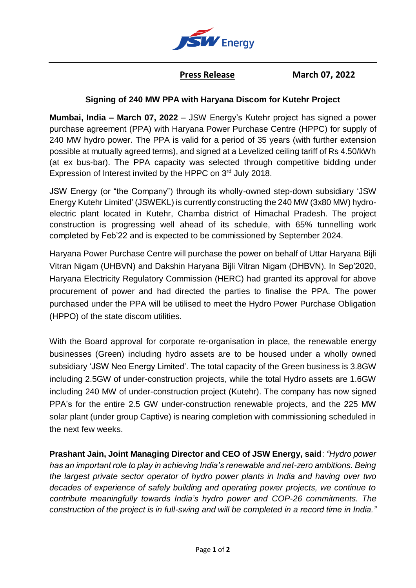

**Press Release March 07, 2022** 

## **Signing of 240 MW PPA with Haryana Discom for Kutehr Project**

**Mumbai, India – March 07, 2022** – JSW Energy's Kutehr project has signed a power purchase agreement (PPA) with Haryana Power Purchase Centre (HPPC) for supply of 240 MW hydro power. The PPA is valid for a period of 35 years (with further extension possible at mutually agreed terms), and signed at a Levelized ceiling tariff of Rs 4.50/kWh (at ex bus-bar). The PPA capacity was selected through competitive bidding under Expression of Interest invited by the HPPC on 3rd July 2018.

JSW Energy (or "the Company") through its wholly-owned step-down subsidiary 'JSW Energy Kutehr Limited' (JSWEKL) is currently constructing the 240 MW (3x80 MW) hydroelectric plant located in Kutehr, Chamba district of Himachal Pradesh. The project construction is progressing well ahead of its schedule, with 65% tunnelling work completed by Feb'22 and is expected to be commissioned by September 2024.

Haryana Power Purchase Centre will purchase the power on behalf of Uttar Haryana Bijli Vitran Nigam (UHBVN) and Dakshin Haryana Bijli Vitran Nigam (DHBVN). In Sep'2020, Haryana Electricity Regulatory Commission (HERC) had granted its approval for above procurement of power and had directed the parties to finalise the PPA. The power purchased under the PPA will be utilised to meet the Hydro Power Purchase Obligation (HPPO) of the state discom utilities.

With the Board approval for corporate re-organisation in place, the renewable energy businesses (Green) including hydro assets are to be housed under a wholly owned subsidiary 'JSW Neo Energy Limited'. The total capacity of the Green business is 3.8GW including 2.5GW of under-construction projects, while the total Hydro assets are 1.6GW including 240 MW of under-construction project (Kutehr). The company has now signed PPA's for the entire 2.5 GW under-construction renewable projects, and the 225 MW solar plant (under group Captive) is nearing completion with commissioning scheduled in the next few weeks.

**Prashant Jain, Joint Managing Director and CEO of JSW Energy, said**: *"Hydro power has an important role to play in achieving India's renewable and net-zero ambitions. Being the largest private sector operator of hydro power plants in India and having over two decades of experience of safely building and operating power projects, we continue to contribute meaningfully towards India's hydro power and COP-26 commitments. The construction of the project is in full-swing and will be completed in a record time in India."*